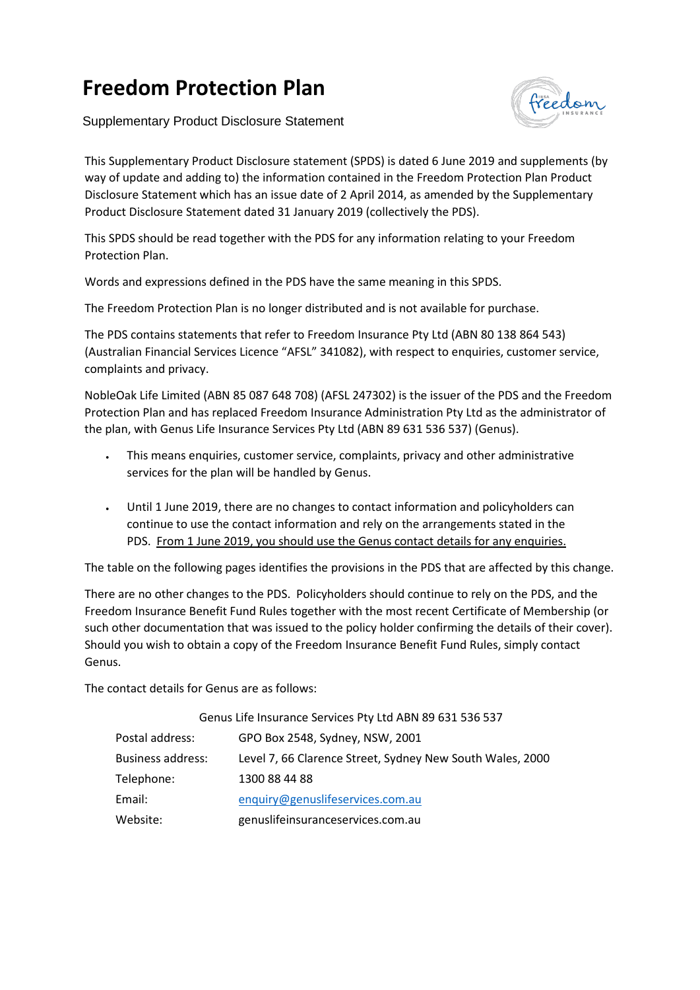## **Freedom Protection Plan**

Supplementary Product Disclosure Statement



This Supplementary Product Disclosure statement (SPDS) is dated 6 June 2019 and supplements (by way of update and adding to) the information contained in the Freedom Protection Plan Product Disclosure Statement which has an issue date of 2 April 2014, as amended by the Supplementary Product Disclosure Statement dated 31 January 2019 (collectively the PDS).

This SPDS should be read together with the PDS for any information relating to your Freedom Protection Plan.

Words and expressions defined in the PDS have the same meaning in this SPDS.

The Freedom Protection Plan is no longer distributed and is not available for purchase.

The PDS contains statements that refer to Freedom Insurance Pty Ltd (ABN 80 138 864 543) (Australian Financial Services Licence "AFSL" 341082), with respect to enquiries, customer service, complaints and privacy.

NobleOak Life Limited (ABN 85 087 648 708) (AFSL 247302) is the issuer of the PDS and the Freedom Protection Plan and has replaced Freedom Insurance Administration Pty Ltd as the administrator of the plan, with Genus Life Insurance Services Pty Ltd (ABN 89 631 536 537) (Genus).

- This means enquiries, customer service, complaints, privacy and other administrative services for the plan will be handled by Genus.
- Until 1 June 2019, there are no changes to contact information and policyholders can continue to use the contact information and rely on the arrangements stated in the PDS. From 1 June 2019, you should use the Genus contact details for any enquiries.

The table on the following pages identifies the provisions in the PDS that are affected by this change.

There are no other changes to the PDS. Policyholders should continue to rely on the PDS, and the Freedom Insurance Benefit Fund Rules together with the most recent Certificate of Membership (or such other documentation that was issued to the policy holder confirming the details of their cover). Should you wish to obtain a copy of the Freedom Insurance Benefit Fund Rules, simply contact Genus.

The contact details for Genus are as follows:

|                          | Genus Life Insurance Services Pty Ltd ABN 89 631 536 537  |
|--------------------------|-----------------------------------------------------------|
| Postal address:          | GPO Box 2548, Sydney, NSW, 2001                           |
| <b>Business address:</b> | Level 7, 66 Clarence Street, Sydney New South Wales, 2000 |
| Telephone:               | 1300 88 44 88                                             |
| Email:                   | enquiry@genuslifeservices.com.au                          |
| Website:                 | genuslifeinsuranceservices.com.au                         |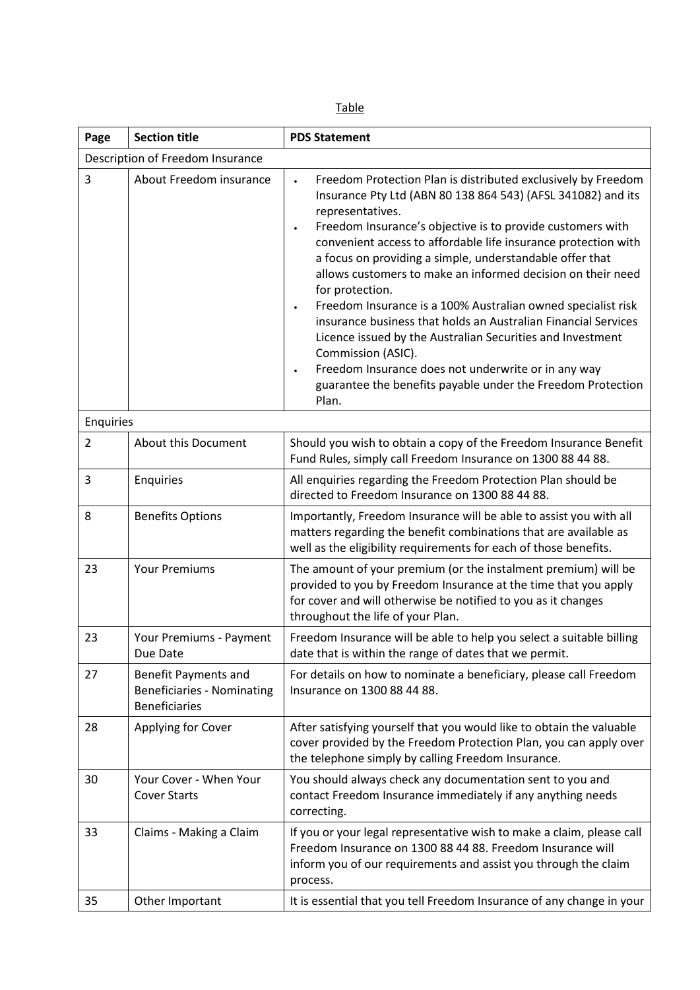| Page           | <b>Section title</b>                                                       | <b>PDS Statement</b>                                                                                                                                                                                                                                                                                                                                                                                                                                                                                                                                                                                                                                                                                                                                                                                                                     |  |  |  |
|----------------|----------------------------------------------------------------------------|------------------------------------------------------------------------------------------------------------------------------------------------------------------------------------------------------------------------------------------------------------------------------------------------------------------------------------------------------------------------------------------------------------------------------------------------------------------------------------------------------------------------------------------------------------------------------------------------------------------------------------------------------------------------------------------------------------------------------------------------------------------------------------------------------------------------------------------|--|--|--|
|                | Description of Freedom Insurance                                           |                                                                                                                                                                                                                                                                                                                                                                                                                                                                                                                                                                                                                                                                                                                                                                                                                                          |  |  |  |
| 3              | About Freedom insurance                                                    | Freedom Protection Plan is distributed exclusively by Freedom<br>$\bullet$<br>Insurance Pty Ltd (ABN 80 138 864 543) (AFSL 341082) and its<br>representatives.<br>Freedom Insurance's objective is to provide customers with<br>$\bullet$<br>convenient access to affordable life insurance protection with<br>a focus on providing a simple, understandable offer that<br>allows customers to make an informed decision on their need<br>for protection.<br>Freedom Insurance is a 100% Australian owned specialist risk<br>$\bullet$<br>insurance business that holds an Australian Financial Services<br>Licence issued by the Australian Securities and Investment<br>Commission (ASIC).<br>Freedom Insurance does not underwrite or in any way<br>$\bullet$<br>guarantee the benefits payable under the Freedom Protection<br>Plan. |  |  |  |
| Enquiries      |                                                                            |                                                                                                                                                                                                                                                                                                                                                                                                                                                                                                                                                                                                                                                                                                                                                                                                                                          |  |  |  |
| $\overline{2}$ | About this Document                                                        | Should you wish to obtain a copy of the Freedom Insurance Benefit<br>Fund Rules, simply call Freedom Insurance on 1300 88 44 88.                                                                                                                                                                                                                                                                                                                                                                                                                                                                                                                                                                                                                                                                                                         |  |  |  |
| 3              | Enquiries                                                                  | All enquiries regarding the Freedom Protection Plan should be<br>directed to Freedom Insurance on 1300 88 44 88.                                                                                                                                                                                                                                                                                                                                                                                                                                                                                                                                                                                                                                                                                                                         |  |  |  |
| 8              | <b>Benefits Options</b>                                                    | Importantly, Freedom Insurance will be able to assist you with all<br>matters regarding the benefit combinations that are available as<br>well as the eligibility requirements for each of those benefits.                                                                                                                                                                                                                                                                                                                                                                                                                                                                                                                                                                                                                               |  |  |  |
| 23             | <b>Your Premiums</b>                                                       | The amount of your premium (or the instalment premium) will be<br>provided to you by Freedom Insurance at the time that you apply<br>for cover and will otherwise be notified to you as it changes<br>throughout the life of your Plan.                                                                                                                                                                                                                                                                                                                                                                                                                                                                                                                                                                                                  |  |  |  |
| 23             | Your Premiums - Payment<br>Due Date                                        | Freedom Insurance will be able to help you select a suitable billing<br>date that is within the range of dates that we permit.                                                                                                                                                                                                                                                                                                                                                                                                                                                                                                                                                                                                                                                                                                           |  |  |  |
| 27             | Benefit Payments and<br>Beneficiaries - Nominating<br><b>Beneficiaries</b> | For details on how to nominate a beneficiary, please call Freedom<br>Insurance on 1300 88 44 88.                                                                                                                                                                                                                                                                                                                                                                                                                                                                                                                                                                                                                                                                                                                                         |  |  |  |
| 28             | Applying for Cover                                                         | After satisfying yourself that you would like to obtain the valuable<br>cover provided by the Freedom Protection Plan, you can apply over<br>the telephone simply by calling Freedom Insurance.                                                                                                                                                                                                                                                                                                                                                                                                                                                                                                                                                                                                                                          |  |  |  |
| 30             | Your Cover - When Your<br><b>Cover Starts</b>                              | You should always check any documentation sent to you and<br>contact Freedom Insurance immediately if any anything needs<br>correcting.                                                                                                                                                                                                                                                                                                                                                                                                                                                                                                                                                                                                                                                                                                  |  |  |  |
| 33             | Claims - Making a Claim                                                    | If you or your legal representative wish to make a claim, please call<br>Freedom Insurance on 1300 88 44 88. Freedom Insurance will<br>inform you of our requirements and assist you through the claim<br>process.                                                                                                                                                                                                                                                                                                                                                                                                                                                                                                                                                                                                                       |  |  |  |
| 35             | Other Important                                                            | It is essential that you tell Freedom Insurance of any change in your                                                                                                                                                                                                                                                                                                                                                                                                                                                                                                                                                                                                                                                                                                                                                                    |  |  |  |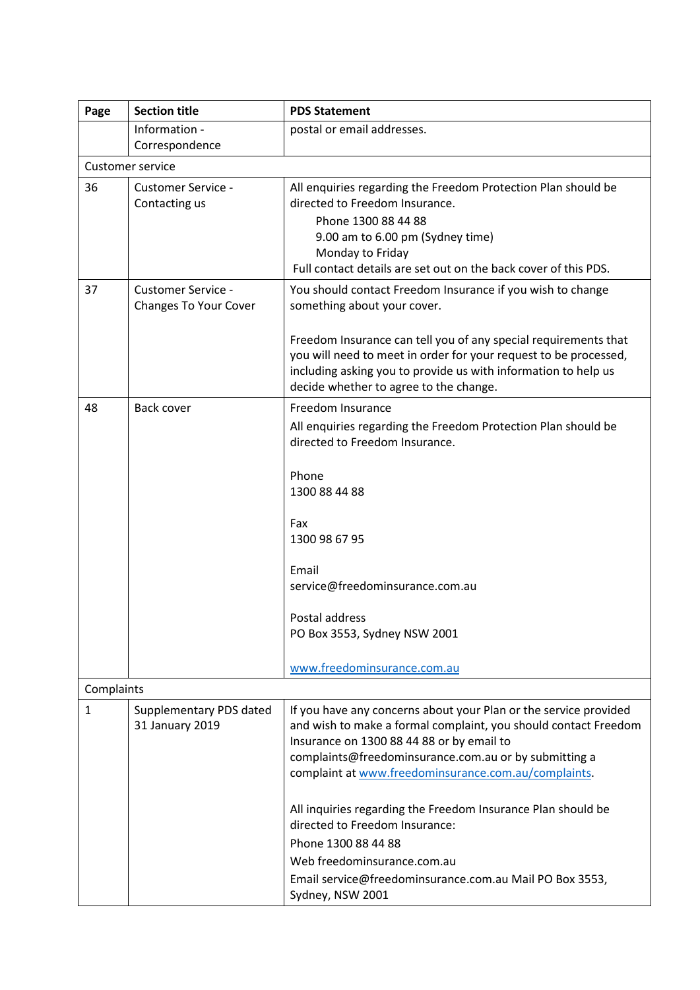| Page         | <b>Section title</b>                                      | <b>PDS Statement</b>                                                                                                                                                                                                                                                                                                                                                                                                                                                                                                                     |
|--------------|-----------------------------------------------------------|------------------------------------------------------------------------------------------------------------------------------------------------------------------------------------------------------------------------------------------------------------------------------------------------------------------------------------------------------------------------------------------------------------------------------------------------------------------------------------------------------------------------------------------|
|              | Information -<br>Correspondence                           | postal or email addresses.                                                                                                                                                                                                                                                                                                                                                                                                                                                                                                               |
|              | <b>Customer service</b>                                   |                                                                                                                                                                                                                                                                                                                                                                                                                                                                                                                                          |
| 36           | <b>Customer Service -</b><br>Contacting us                | All enquiries regarding the Freedom Protection Plan should be<br>directed to Freedom Insurance.<br>Phone 1300 88 44 88<br>9.00 am to 6.00 pm (Sydney time)<br>Monday to Friday<br>Full contact details are set out on the back cover of this PDS.                                                                                                                                                                                                                                                                                        |
| 37           | <b>Customer Service -</b><br><b>Changes To Your Cover</b> | You should contact Freedom Insurance if you wish to change<br>something about your cover.<br>Freedom Insurance can tell you of any special requirements that                                                                                                                                                                                                                                                                                                                                                                             |
|              |                                                           | you will need to meet in order for your request to be processed,<br>including asking you to provide us with information to help us<br>decide whether to agree to the change.                                                                                                                                                                                                                                                                                                                                                             |
| 48           | Back cover                                                | Freedom Insurance<br>All enquiries regarding the Freedom Protection Plan should be<br>directed to Freedom Insurance.<br>Phone<br>1300 88 44 88<br>Fax<br>1300 98 67 95                                                                                                                                                                                                                                                                                                                                                                   |
|              |                                                           | Email<br>service@freedominsurance.com.au<br>Postal address<br>PO Box 3553, Sydney NSW 2001<br>www.freedominsurance.com.au                                                                                                                                                                                                                                                                                                                                                                                                                |
| Complaints   |                                                           |                                                                                                                                                                                                                                                                                                                                                                                                                                                                                                                                          |
| $\mathbf{1}$ | Supplementary PDS dated<br>31 January 2019                | If you have any concerns about your Plan or the service provided<br>and wish to make a formal complaint, you should contact Freedom<br>Insurance on 1300 88 44 88 or by email to<br>complaints@freedominsurance.com.au or by submitting a<br>complaint at www.freedominsurance.com.au/complaints.<br>All inquiries regarding the Freedom Insurance Plan should be<br>directed to Freedom Insurance:<br>Phone 1300 88 44 88<br>Web freedominsurance.com.au<br>Email service@freedominsurance.com.au Mail PO Box 3553,<br>Sydney, NSW 2001 |